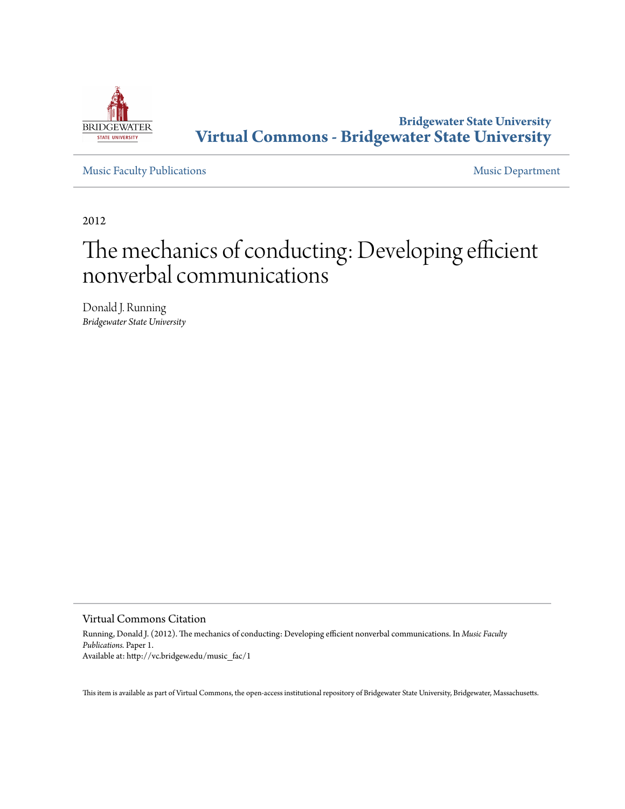

## **Bridgewater State University [Virtual Commons - Bridgewater State University](http://vc.bridgew.edu)**

[Music Faculty Publications](http://vc.bridgew.edu/music_fac) **[Music Department](http://vc.bridgew.edu/music)** 

2012

# The mechanics of conducting: Developing efficient nonverbal communications

Donald J. Running *Bridgewater State University*

Virtual Commons Citation

Running, Donald J. (2012). The mechanics of conducting: Developing efficient nonverbal communications. In *Music Faculty Publications.* Paper 1. Available at: http://vc.bridgew.edu/music\_fac/1

This item is available as part of Virtual Commons, the open-access institutional repository of Bridgewater State University, Bridgewater, Massachusetts.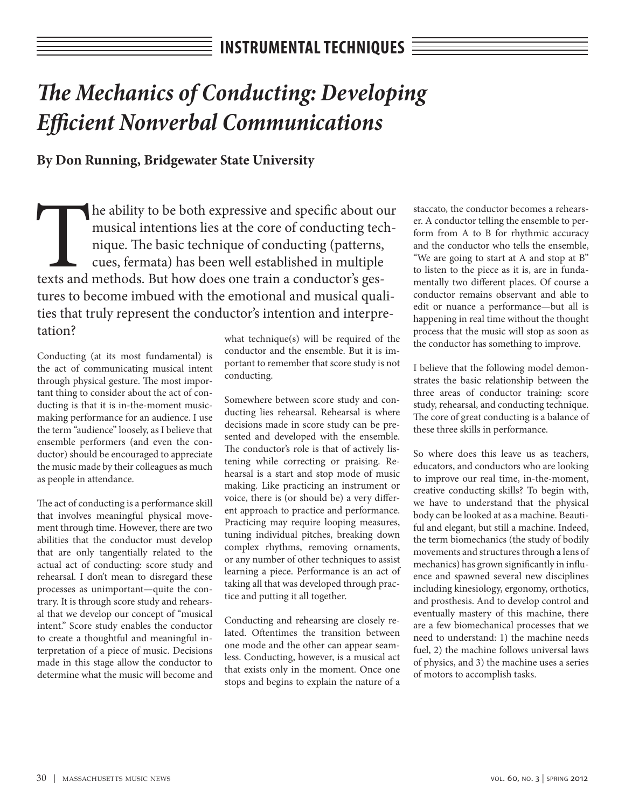# *The Mechanics of Conducting: Developing Efficient Nonverbal Communications*

### **By Don Running, Bridgewater State University**

The ability to be both expressive and specific about our musical intentions lies at the core of conducting technique. The basic technique of conducting (patterns, cues, fermata) has been well established in multiple texts musical intentions lies at the core of conducting technique. The basic technique of conducting (patterns, cues, fermata) has been well established in multiple tures to become imbued with the emotional and musical qualities that truly represent the conductor's intention and interpretation?

Conducting (at its most fundamental) is the act of communicating musical intent through physical gesture. The most important thing to consider about the act of conducting is that it is in-the-moment musicmaking performance for an audience. I use the term "audience" loosely, as I believe that ensemble performers (and even the conductor) should be encouraged to appreciate the music made by their colleagues as much as people in attendance.

The act of conducting is a performance skill that involves meaningful physical movement through time. However, there are two abilities that the conductor must develop that are only tangentially related to the actual act of conducting: score study and rehearsal. I don't mean to disregard these processes as unimportant—quite the contrary. It is through score study and rehearsal that we develop our concept of "musical intent." Score study enables the conductor to create a thoughtful and meaningful interpretation of a piece of music. Decisions made in this stage allow the conductor to determine what the music will become and

what technique(s) will be required of the conductor and the ensemble. But it is important to remember that score study is not conducting.

Somewhere between score study and conducting lies rehearsal. Rehearsal is where decisions made in score study can be presented and developed with the ensemble. The conductor's role is that of actively listening while correcting or praising. Rehearsal is a start and stop mode of music making. Like practicing an instrument or voice, there is (or should be) a very different approach to practice and performance. Practicing may require looping measures, tuning individual pitches, breaking down complex rhythms, removing ornaments, or any number of other techniques to assist learning a piece. Performance is an act of taking all that was developed through practice and putting it all together.

Conducting and rehearsing are closely related. Oftentimes the transition between one mode and the other can appear seamless. Conducting, however, is a musical act that exists only in the moment. Once one stops and begins to explain the nature of a

staccato, the conductor becomes a rehearser. A conductor telling the ensemble to perform from A to B for rhythmic accuracy and the conductor who tells the ensemble, "We are going to start at A and stop at B" to listen to the piece as it is, are in fundamentally two different places. Of course a conductor remains observant and able to edit or nuance a performance—but all is happening in real time without the thought process that the music will stop as soon as the conductor has something to improve.

I believe that the following model demonstrates the basic relationship between the three areas of conductor training: score study, rehearsal, and conducting technique. The core of great conducting is a balance of these three skills in performance.

So where does this leave us as teachers, educators, and conductors who are looking to improve our real time, in-the-moment, creative conducting skills? To begin with, we have to understand that the physical body can be looked at as a machine. Beautiful and elegant, but still a machine. Indeed, the term biomechanics (the study of bodily movements and structures through a lens of mechanics) has grown significantly in influence and spawned several new disciplines including kinesiology, ergonomy, orthotics, and prosthesis. And to develop control and eventually mastery of this machine, there are a few biomechanical processes that we need to understand: 1) the machine needs fuel, 2) the machine follows universal laws of physics, and 3) the machine uses a series of motors to accomplish tasks.